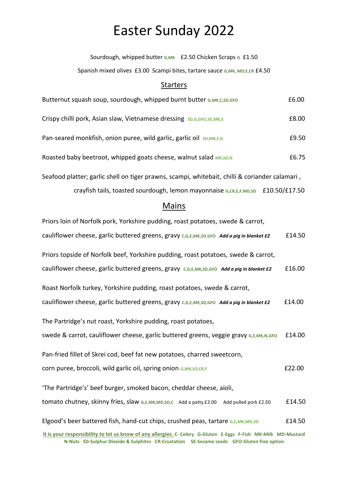# Easter Sunday 2022

Sourdough, whipped butter **G,MK** £2.50 Chicken Scraps **G** £1.50

Spanish mixed olives £3.00 Scampi bites, tartare sauce G, MK, MD, E, CR £4.50

#### Starters

| Butternut squash soup, sourdough, whipped burnt butter G, MK, C, SD, GFO  | £6.00 |
|---------------------------------------------------------------------------|-------|
| Crispy chilli pork, Asian slaw, Vietnamese dressing SD, G, GFO, SE, MK, S | £8.00 |
| Pan-seared monkfish, onion puree, wild garlic, garlic oil SD, MK, F, G    | £9.50 |
| Roasted baby beetroot, whipped goats cheese, walnut salad MK, SD, N       | £6.75 |

Seafood platter; garlic shell on tiger prawns, scampi, whitebait, chilli & coriander calamari , crayfish tails, toasted sourdough, lemon mayonnaise **G,CR,E,F,MD,SD** £10.50/£17.50

### **Mains**

| Priors loin of Norfolk pork, Yorkshire pudding, roast potatoes, swede & carrot,                                |        |
|----------------------------------------------------------------------------------------------------------------|--------|
| cauliflower cheese, garlic buttered greens, gravy C,G,E,MK,SD,GFO Add a pig in blanket £2                      | £14.50 |
| Priors topside of Norfolk beef, Yorkshire pudding, roast potatoes, swede & carrot,                             |        |
| cauliflower cheese, garlic buttered greens, gravy c,G,E,MK,SD,GFO Add a pig in blanket £2                      | £16.00 |
| Roast Norfolk turkey, Yorkshire pudding, roast potatoes, swede & carrot,                                       |        |
| cauliflower cheese, garlic buttered greens, gravy c,G,E,MK,SD,GFO Add a pig in blanket £2                      | £14.00 |
| The Partridge's nut roast, Yorkshire pudding, roast potatoes,                                                  |        |
| Swede & carrot, cauliflower cheese, garlic buttered greens, veggie gravy G,E,MK,N,GFO                          | £14.00 |
| Pan-fried fillet of Skrei cod, beef fat new potatoes, charred sweetcorn,                                       |        |
| corn puree, broccoli, wild garlic oil, spring onion G, MK, SD, CR, F                                           | £22.00 |
| 'The Partridge's' beef burger, smoked bacon, cheddar cheese, aioli,                                            |        |
| tomato chutney, skinny fries, slaw G,E,MK,MD,SD,C Add a patty £2.00 Add pulled pork £2.50                      | £14.50 |
| Elgood's beer battered fish, hand-cut chips, crushed peas, tartare G,E,MK,MD,SD                                | £14.50 |
| It is your responsibility to let us know of any allergies. C- Celery G-Gluten E-Eggs F-Fish MK-Milk MD-Mustard |        |

**N-Nuts SD-Sulphur Dioxide & Sulphites CR-Crustation SE-Sesame seeds GFO-Gluten free option**